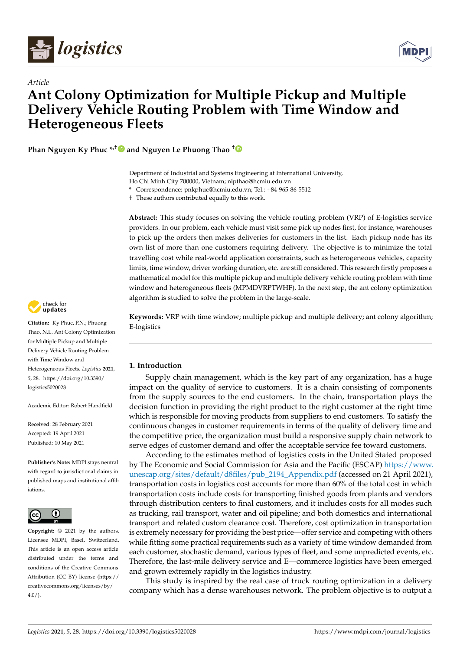

*Article*



# **Ant Colony Optimization for Multiple Pickup and Multiple Delivery Vehicle Routing Problem with Time Window and Heterogeneous Fleets**

**Phan Nguyen Ky Phuc \*,† and Nguyen Le Phuong Thao [†](https://orcid.org/0000-0002-4864-3641)**

Department of Industrial and Systems Engineering at International University, Ho Chi Minh City 700000, Vietnam; nlpthao@hcmiu.edu.vn

**\*** Correspondence: pnkphuc@hcmiu.edu.vn; Tel.: +84-965-86-5512

† These authors contributed equally to this work.

**Abstract:** This study focuses on solving the vehicle routing problem (VRP) of E-logistics service providers. In our problem, each vehicle must visit some pick up nodes first, for instance, warehouses to pick up the orders then makes deliveries for customers in the list. Each pickup node has its own list of more than one customers requiring delivery. The objective is to minimize the total travelling cost while real-world application constraints, such as heterogeneous vehicles, capacity limits, time window, driver working duration, etc. are still considered. This research firstly proposes a mathematical model for this multiple pickup and multiple delivery vehicle routing problem with time window and heterogeneous fleets (MPMDVRPTWHF). In the next step, the ant colony optimization algorithm is studied to solve the problem in the large-scale.

**Keywords:** VRP with time window; multiple pickup and multiple delivery; ant colony algorithm; E-logistics

## **1. Introduction**

Supply chain management, which is the key part of any organization, has a huge impact on the quality of service to customers. It is a chain consisting of components from the supply sources to the end customers. In the chain, transportation plays the decision function in providing the right product to the right customer at the right time which is responsible for moving products from suppliers to end customers. To satisfy the continuous changes in customer requirements in terms of the quality of delivery time and the competitive price, the organization must build a responsive supply chain network to serve edges of customer demand and offer the acceptable service fee toward customers.

According to the estimates method of logistics costs in the United Stated proposed by The Economic and Social Commission for Asia and the Pacific (ESCAP) [https://www.](https://www.unescap.org/sites/default/d8files/pub_2194_Appendix.pdf) [unescap.org/sites/default/d8files/pub\\_2194\\_Appendix.pdf](https://www.unescap.org/sites/default/d8files/pub_2194_Appendix.pdf) (accessed on 21 April 2021), transportation costs in logistics cost accounts for more than 60% of the total cost in which transportation costs include costs for transporting finished goods from plants and vendors through distribution centers to final customers, and it includes costs for all modes such as trucking, rail transport, water and oil pipeline; and both domestics and international transport and related custom clearance cost. Therefore, cost optimization in transportation is extremely necessary for providing the best price—offer service and competing with others while fitting some practical requirements such as a variety of time window demanded from each customer, stochastic demand, various types of fleet, and some unpredicted events, etc. Therefore, the last-mile delivery service and E—commerce logistics have been emerged and grown extremely rapidly in the logistics industry.

This study is inspired by the real case of truck routing optimization in a delivery company which has a dense warehouses network. The problem objective is to output a



**Citation:** Ky Phuc, P.N.; Phuong Thao, N.L. Ant Colony Optimization for Multiple Pickup and Multiple Delivery Vehicle Routing Problem with Time Window and Heterogeneous Fleets. *Logistics* **2021**, *5*, 28. [https://doi.org/10.3390/](https://doi.org/10.3390/logistics5020028) [logistics5020028](https://doi.org/10.3390/logistics5020028)

Academic Editor: Robert Handfield

Received: 28 February 2021 Accepted: 19 April 2021 Published: 10 May 2021

**Publisher's Note:** MDPI stays neutral with regard to jurisdictional claims in published maps and institutional affiliations.



**Copyright:** © 2021 by the authors. Licensee MDPI, Basel, Switzerland. This article is an open access article distributed under the terms and conditions of the Creative Commons Attribution (CC BY) license (https:/[/](https://creativecommons.org/licenses/by/4.0/) [creativecommons.org/licenses/by/](https://creativecommons.org/licenses/by/4.0/)  $4.0/$ ).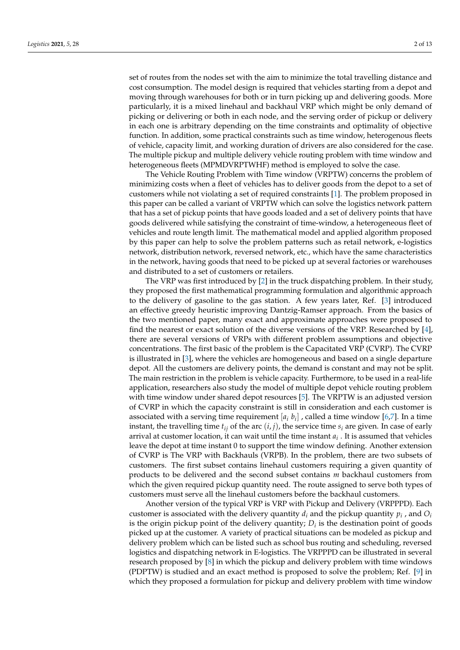set of routes from the nodes set with the aim to minimize the total travelling distance and cost consumption. The model design is required that vehicles starting from a depot and moving through warehouses for both or in turn picking up and delivering goods. More particularly, it is a mixed linehaul and backhaul VRP which might be only demand of picking or delivering or both in each node, and the serving order of pickup or delivery in each one is arbitrary depending on the time constraints and optimality of objective function. In addition, some practical constraints such as time window, heterogenous fleets of vehicle, capacity limit, and working duration of drivers are also considered for the case. The multiple pickup and multiple delivery vehicle routing problem with time window and heterogeneous fleets (MPMDVRPTWHF) method is employed to solve the case.

The Vehicle Routing Problem with Time window (VRPTW) concerns the problem of minimizing costs when a fleet of vehicles has to deliver goods from the depot to a set of customers while not violating a set of required constraints [\[1\]](#page-11-0). The problem proposed in this paper can be called a variant of VRPTW which can solve the logistics network pattern that has a set of pickup points that have goods loaded and a set of delivery points that have goods delivered while satisfying the constraint of time-window, a heterogeneous fleet of vehicles and route length limit. The mathematical model and applied algorithm proposed by this paper can help to solve the problem patterns such as retail network, e-logistics network, distribution network, reversed network, etc., which have the same characteristics in the network, having goods that need to be picked up at several factories or warehouses and distributed to a set of customers or retailers.

The VRP was first introduced by [\[2\]](#page-11-1) in the truck dispatching problem. In their study, they proposed the first mathematical programming formulation and algorithmic approach to the delivery of gasoline to the gas station. A few years later, Ref. [\[3\]](#page-11-2) introduced an effective greedy heuristic improving Dantzig-Ramser approach. From the basics of the two mentioned paper, many exact and approximate approaches were proposed to find the nearest or exact solution of the diverse versions of the VRP. Researched by [\[4\]](#page-11-3), there are several versions of VRPs with different problem assumptions and objective concentrations. The first basic of the problem is the Capacitated VRP (CVRP). The CVRP is illustrated in [\[3\]](#page-11-2), where the vehicles are homogeneous and based on a single departure depot. All the customers are delivery points, the demand is constant and may not be split. The main restriction in the problem is vehicle capacity. Furthermore, to be used in a real-life application, researchers also study the model of multiple depot vehicle routing problem with time window under shared depot resources [\[5\]](#page-11-4). The VRPTW is an adjusted version of CVRP in which the capacity constraint is still in consideration and each customer is associated with a serving time requirement  $[a_i, b_i]$  , called a time window [\[6,](#page-11-5)[7\]](#page-11-6). In a time instant, the travelling time  $t_{ij}$  of the arc  $(i, j)$ , the service time  $s_i$  are given. In case of early arrival at customer location, it can wait until the time instant *a<sup>i</sup>* . It is assumed that vehicles leave the depot at time instant 0 to support the time window defining. Another extension of CVRP is The VRP with Backhauls (VRPB). In the problem, there are two subsets of customers. The first subset contains linehaul customers requiring a given quantity of products to be delivered and the second subset contains *m* backhaul customers from which the given required pickup quantity need. The route assigned to serve both types of customers must serve all the linehaul customers before the backhaul customers.

Another version of the typical VRP is VRP with Pickup and Delivery (VRPPPD). Each customer is associated with the delivery quantity  $d_i$  and the pickup quantity  $p_i$  , and  $O_i$ is the origin pickup point of the delivery quantity;  $D_i$  is the destination point of goods picked up at the customer. A variety of practical situations can be modeled as pickup and delivery problem which can be listed such as school bus routing and scheduling, reversed logistics and dispatching network in E-logistics. The VRPPPD can be illustrated in several research proposed by [\[8\]](#page-11-7) in which the pickup and delivery problem with time windows (PDPTW) is studied and an exact method is proposed to solve the problem; Ref. [\[9\]](#page-11-8) in which they proposed a formulation for pickup and delivery problem with time window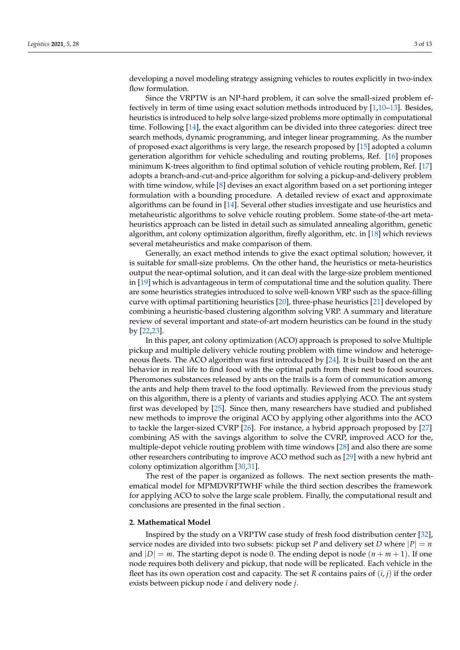developing a novel modeling strategy assigning vehicles to routes explicitly in two-index flow formulation.

Since the VRPTW is an NP-hard problem, it can solve the small-sized problem effectively in term of time using exact solution methods introduced by [\[1,](#page-11-0)[10–](#page-11-9)[13\]](#page-12-0). Besides, heuristics is introduced to help solve large-sized problems more optimally in computational time. Following [\[14\]](#page-12-1), the exact algorithm can be divided into three categories: direct tree search methods, dynamic programming, and integer linear programming. As the number of proposed exact algorithms is very large, the research proposed by [\[15\]](#page-12-2) adopted a column generation algorithm for vehicle scheduling and routing problems, Ref. [\[16\]](#page-12-3) proposes minimum K-trees algorithm to find optimal solution of vehicle routing problem, Ref. [\[17\]](#page-12-4) adopts a branch-and-cut-and-price algorithm for solving a pickup-and-delivery problem with time window, while [\[8\]](#page-11-7) devises an exact algorithm based on a set portioning integer formulation with a bounding procedure. A detailed review of exact and approximate algorithms can be found in [\[14\]](#page-12-1). Several other studies investigate and use heuristics and metaheuristic algorithms to solve vehicle routing problem. Some state-of-the-art metaheuristics approach can be listed in detail such as simulated annealing algorithm, genetic algorithm, ant colony optimization algorithm, firefly algorithm, etc. in [\[18\]](#page-12-5) which reviews several metaheuristics and make comparison of them.

Generally, an exact method intends to give the exact optimal solution; however, it is suitable for small-size problems. On the other hand, the heuristics or meta-heuristics output the near-optimal solution, and it can deal with the large-size problem mentioned in [\[19\]](#page-12-6) which is advantageous in term of computational time and the solution quality. There are some heuristics strategies introduced to solve well-known VRP such as the space-filling curve with optimal partitioning heuristics [\[20\]](#page-12-7), three-phase heuristics [\[21\]](#page-12-8) developed by combining a heuristic-based clustering algorithm solving VRP. A summary and literature review of several important and state-of-art modern heuristics can be found in the study by [\[22,](#page-12-9)[23\]](#page-12-10).

In this paper, ant colony optimization (ACO) approach is proposed to solve Multiple pickup and multiple delivery vehicle routing problem with time window and heterogeneous fleets. The ACO algorithm was first introduced by [\[24\]](#page-12-11). It is built based on the ant behavior in real life to find food with the optimal path from their nest to food sources. Pheromones substances released by ants on the trails is a form of communication among the ants and help them travel to the food optimally. Reviewed from the previous study on this algorithm, there is a plenty of variants and studies applying ACO. The ant system first was developed by [\[25\]](#page-12-12). Since then, many researchers have studied and published new methods to improve the original ACO by applying other algorithms into the ACO to tackle the larger-sized CVRP [\[26\]](#page-12-13). For instance, a hybrid approach proposed by [\[27\]](#page-12-14) combining AS with the savings algorithm to solve the CVRP, improved ACO for the, multiple-depot vehicle routing problem with time windows [\[28\]](#page-12-15) and also there are some other researchers contributing to improve ACO method such as [\[29\]](#page-12-16) with a new hybrid ant colony optimization algorithm [\[30,](#page-12-17)[31\]](#page-12-18).

The rest of the paper is organized as follows. The next section presents the mathematical model for MPMDVRPTWHF while the third section describes the framework for applying ACO to solve the large scale problem. Finally, the computational result and conclusions are presented in the final section .

### **2. Mathematical Model**

Inspired by the study on a VRPTW case study of fresh food distribution center [\[32\]](#page-12-19), service nodes are divided into two subsets: pickup set *P* and delivery set *D* where  $|P| = n$ and  $|D| = m$ . The starting depot is node 0. The ending depot is node  $(n + m + 1)$ . If one node requires both delivery and pickup, that node will be replicated. Each vehicle in the fleet has its own operation cost and capacity. The set *R* contains pairs of (*i*, *j*) if the order exists between pickup node *i* and delivery node *j*.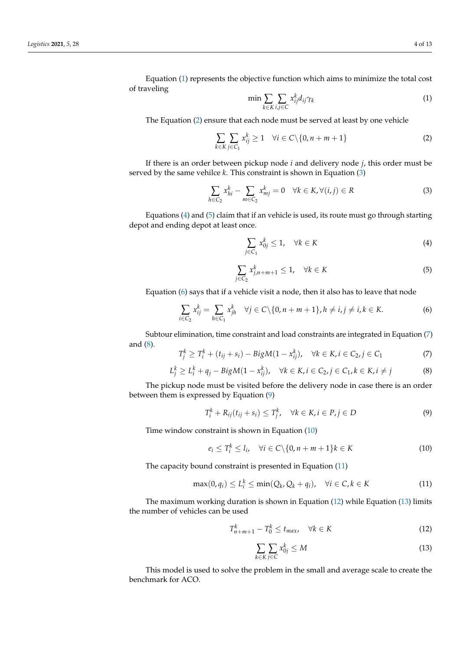Equation [\(1\)](#page-3-0) represents the objective function which aims to minimize the total cost of traveling

<span id="page-3-0"></span>
$$
\min \sum_{k \in K} \sum_{i,j \in C} x_{ij}^k d_{ij} \gamma_k \tag{1}
$$

The Equation [\(2\)](#page-3-1) ensure that each node must be served at least by one vehicle

<span id="page-3-1"></span>
$$
\sum_{k \in K} \sum_{j \in C_1} x_{ij}^k \ge 1 \quad \forall i \in C \setminus \{0, n + m + 1\}
$$
 (2)

If there is an order between pickup node *i* and delivery node *j*, this order must be served by the same vehilce *k*. This constraint is shown in Equation [\(3\)](#page-3-2)

<span id="page-3-2"></span>
$$
\sum_{h \in C_2} x_{hi}^k - \sum_{m \in C_2} x_{mj}^k = 0 \quad \forall k \in K, \forall (i, j) \in R
$$
 (3)

Equations  $(4)$  and  $(5)$  claim that if an vehicle is used, its route must go through starting depot and ending depot at least once.

<span id="page-3-3"></span>
$$
\sum_{j \in C_1} x_{0j}^k \le 1, \quad \forall k \in K \tag{4}
$$

<span id="page-3-4"></span>
$$
\sum_{j \in C_2} x_{j,n+m+1}^k \le 1, \quad \forall k \in K \tag{5}
$$

Equation [\(6\)](#page-3-5) says that if a vehicle visit a node, then it also has to leave that node

<span id="page-3-5"></span>
$$
\sum_{i \in C_2} x_{ij}^k = \sum_{h \in C_1} x_{jh}^k \quad \forall j \in C \setminus \{0, n + m + 1\}, h \neq i, j \neq i, k \in K.
$$
 (6)

Subtour elimination, time constraint and load constraints are integrated in Equation [\(7\)](#page-3-6) and [\(8\)](#page-3-7).

<span id="page-3-6"></span>
$$
T_j^k \ge T_i^k + (t_{ij} + s_i) - Bi g M (1 - x_{ij}^k), \quad \forall k \in K, i \in C_2, j \in C_1
$$
 (7)

<span id="page-3-7"></span>
$$
L_j^k \ge L_i^k + q_j - Bi g M (1 - x_{ij}^k), \quad \forall k \in K, i \in C_2, j \in C_1, k \in K, i \ne j
$$
 (8)

The pickup node must be visited before the delivery node in case there is an order between them is expressed by Equation [\(9\)](#page-3-8)

<span id="page-3-8"></span>
$$
T_i^k + R_{ij}(t_{ij} + s_i) \le T_j^k, \quad \forall k \in K, i \in P, j \in D
$$
\n
$$
(9)
$$

Time window constraint is shown in Equation [\(10\)](#page-3-9)

<span id="page-3-9"></span>
$$
e_i \leq T_i^k \leq l_i, \quad \forall i \in C \setminus \{0, n + m + 1\}k \in K \tag{10}
$$

The capacity bound constraint is presented in Equation [\(11\)](#page-3-10)

<span id="page-3-10"></span>
$$
\max(0, q_i) \le L_i^k \le \min(Q_k, Q_k + q_i), \quad \forall i \in C, k \in K
$$
\n(11)

The maximum working duration is shown in Equation [\(12\)](#page-3-11) while Equation [\(13\)](#page-3-12) limits the number of vehicles can be used

<span id="page-3-11"></span>
$$
T_{n+m+1}^k - T_0^k \le t_{max}, \quad \forall k \in K \tag{12}
$$

<span id="page-3-12"></span>
$$
\sum_{k \in K} \sum_{j \in C} x_{0j}^k \le M \tag{13}
$$

This model is used to solve the problem in the small and average scale to create the benchmark for ACO.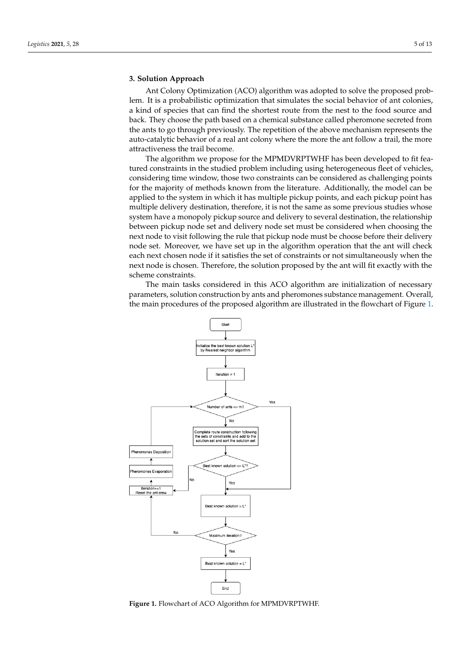## **3. Solution Approach**

Ant Colony Optimization (ACO) algorithm was adopted to solve the proposed problem. It is a probabilistic optimization that simulates the social behavior of ant colonies, a kind of species that can find the shortest route from the nest to the food source and back. They choose the path based on a chemical substance called pheromone secreted from the ants to go through previously. The repetition of the above mechanism represents the auto-catalytic behavior of a real ant colony where the more the ant follow a trail, the more attractiveness the trail become.

The algorithm we propose for the MPMDVRPTWHF has been developed to fit featured constraints in the studied problem including using heterogeneous fleet of vehicles, considering time window, those two constraints can be considered as challenging points for the majority of methods known from the literature. Additionally, the model can be applied to the system in which it has multiple pickup points, and each pickup point has multiple delivery destination, therefore, it is not the same as some previous studies whose system have a monopoly pickup source and delivery to several destination, the relationship between pickup node set and delivery node set must be considered when choosing the next node to visit following the rule that pickup node must be choose before their delivery node set. Moreover, we have set up in the algorithm operation that the ant will check each next chosen node if it satisfies the set of constraints or not simultaneously when the next node is chosen. Therefore, the solution proposed by the ant will fit exactly with the scheme constraints.

The main tasks considered in this ACO algorithm are initialization of necessary parameters, solution construction by ants and pheromones substance management. Overall, the main procedures of the proposed algorithm are illustrated in the flowchart of Figure [1.](#page-4-0)

<span id="page-4-0"></span>

**Figure 1.** Flowchart of ACO Algorithm for MPMDVRPTWHF.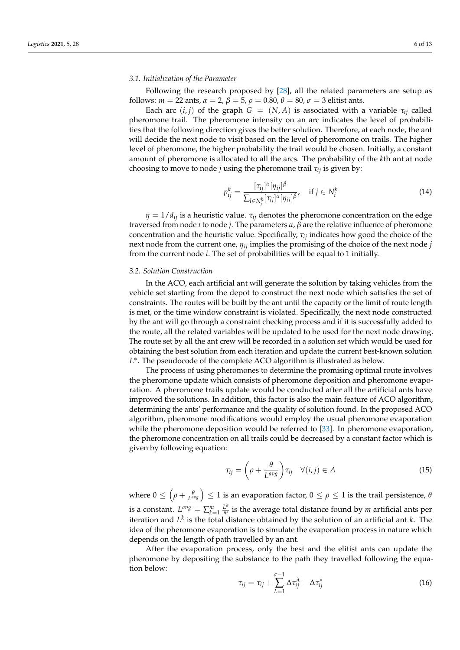#### *3.1. Initialization of the Parameter*

Following the research proposed by [\[28\]](#page-12-15), all the related parameters are setup as follows:  $m = 22$  ants,  $\alpha = 2$ ,  $\beta = 5$ ,  $\rho = 0.80$ ,  $\theta = 80$ ,  $\sigma = 3$  elitist ants.

Each arc  $(i, j)$  of the graph  $G = (N, A)$  is associated with a variable  $\tau_{ij}$  called pheromone trail. The pheromone intensity on an arc indicates the level of probabilities that the following direction gives the better solution. Therefore, at each node, the ant will decide the next node to visit based on the level of pheromone on trails. The higher level of pheromone, the higher probability the trail would be chosen. Initially, a constant amount of pheromone is allocated to all the arcs. The probability of the *k*th ant at node choosing to move to node *j* using the pheromone trail  $\tau_{ii}$  is given by:

$$
p_{ij}^k = \frac{[\tau_{ij}]^{\alpha} [\eta_{ij}]^{\beta}}{\sum_{l \in N_i^k} [\tau_{ij}]^{\alpha} [\eta_{ij}]^{\beta}}, \quad \text{if } j \in N_i^k \tag{14}
$$

 $\eta = 1/d_{ij}$  is a heuristic value.  $\tau_{ij}$  denotes the pheromone concentration on the edge traversed from node *i* to node *j*. The parameters *α*, *β* are the relative influence of pheromone concentration and the heuristic value. Specifically, *τij* indicates how good the choice of the next node from the current one, *ηij* implies the promising of the choice of the next node *j* from the current node *i*. The set of probabilities will be equal to 1 initially.

#### *3.2. Solution Construction*

In the ACO, each artificial ant will generate the solution by taking vehicles from the vehicle set starting from the depot to construct the next node which satisfies the set of constraints. The routes will be built by the ant until the capacity or the limit of route length is met, or the time window constraint is violated. Specifically, the next node constructed by the ant will go through a constraint checking process and if it is successfully added to the route, all the related variables will be updated to be used for the next node drawing. The route set by all the ant crew will be recorded in a solution set which would be used for obtaining the best solution from each iteration and update the current best-known solution *L* ∗ . The pseudocode of the complete ACO algorithm is illustrated as below.

The process of using pheromones to determine the promising optimal route involves the pheromone update which consists of pheromone deposition and pheromone evaporation. A pheromone trails update would be conducted after all the artificial ants have improved the solutions. In addition, this factor is also the main feature of ACO algorithm, determining the ants' performance and the quality of solution found. In the proposed ACO algorithm, pheromone modifications would employ the usual pheromone evaporation while the pheromone deposition would be referred to [\[33\]](#page-12-20). In pheromone evaporation, the pheromone concentration on all trails could be decreased by a constant factor which is given by following equation:

$$
\tau_{ij} = \left(\rho + \frac{\theta}{L^{avg}}\right) \tau_{ij} \quad \forall (i, j) \in A \tag{15}
$$

where  $0\leq\left(\rho+\frac{\theta}{L^{avg}}\right)\leq1$  is an evaporation factor,  $0\leq\rho\leq1$  is the trail persistence,  $\theta$ is a constant.  $L^{avg} = \sum_{k=1}^{m} \frac{L^k}{m}$  $\frac{L}{m}$  is the average total distance found by *m* artificial ants per iteration and  $L^k$  is the total distance obtained by the solution of an artificial ant  $k$ . The idea of the pheromone evaporation is to simulate the evaporation process in nature which depends on the length of path travelled by an ant.

After the evaporation process, only the best and the elitist ants can update the pheromone by depositing the substance to the path they travelled following the equation below:

$$
\tau_{ij} = \tau_{ij} + \sum_{\lambda=1}^{\sigma-1} \Delta \tau_{ij}^{\lambda} + \Delta \tau_{ij}^{*}
$$
\n(16)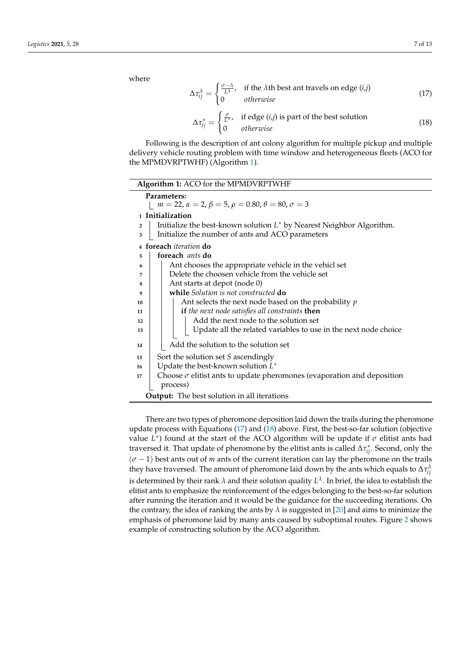where

<span id="page-6-1"></span>
$$
\Delta \tau_{ij}^{\lambda} = \begin{cases} \frac{\sigma - \lambda}{L^{\lambda}}, & \text{if the } \lambda \text{th best ant travels on edge } (i,j) \\ 0 & otherwise \end{cases}
$$
 (17)

<span id="page-6-2"></span>
$$
\Delta \tau_{ij}^* = \begin{cases} \frac{\sigma}{L^*}, & \text{if edge } (i,j) \text{ is part of the best solution} \\ 0 & \text{otherwise} \end{cases}
$$
 (18)

Following is the description of ant colony algorithm for multiple pickup and multiple delivery vehicle routing problem with time window and heterogeneous fleets (ACO for the MPMDVRPTWHF) (Algorithm [1\)](#page-6-0).

<span id="page-6-0"></span>

| Algorithm 1: ACO for the MPMDVRPTWHF                                                 |  |  |  |
|--------------------------------------------------------------------------------------|--|--|--|
| Parameters:                                                                          |  |  |  |
| $m = 22$ , $\alpha = 2$ , $\beta = 5$ , $\rho = 0.80$ , $\theta = 80$ , $\sigma = 3$ |  |  |  |
| 1 Initialization                                                                     |  |  |  |
| Initialize the best-known solution $L^*$ by Nearest Neighbor Algorithm.              |  |  |  |
| Initialize the number of ants and ACO parameters<br>3                                |  |  |  |
| 4 foreach <i>iteration</i> do                                                        |  |  |  |
| foreach <i>ants</i> do<br>5                                                          |  |  |  |
| Ant chooses the appropriate vehicle in the vehicl set<br>6                           |  |  |  |
| Delete the choosen vehicle from the vehicle set<br>7                                 |  |  |  |
| Ant starts at depot (node 0)<br>8                                                    |  |  |  |
| while Solution is not constructed do<br>9                                            |  |  |  |
| Ant selects the next node based on the probability $p$<br>10                         |  |  |  |
| if the next node satisfies all constraints then<br>11                                |  |  |  |
| Add the next node to the solution set<br>12                                          |  |  |  |
| Update all the related variables to use in the next node choice<br>13                |  |  |  |
| Add the solution to the solution set<br>14                                           |  |  |  |
| Sort the solution set S ascendingly<br>15                                            |  |  |  |
| Update the best-known solution $L^*$<br>16                                           |  |  |  |
| Choose $\sigma$ elitist ants to update pheromones (evaporation and deposition<br>17  |  |  |  |
| process)                                                                             |  |  |  |
| <b>Output:</b> The best solution in all iterations                                   |  |  |  |

There are two types of pheromone deposition laid down the trails during the pheromone update process with Equations [\(17\)](#page-6-1) and [\(18\)](#page-6-2) above. First, the best-so-far solution (objective value  $L^*$ ) found at the start of the ACO algorithm will be update if  $\sigma$  elitist ants had traversed it. That update of pheromone by the elitist ants is called ∆*τ* ∗ *ij*. Second, only the (*σ* − 1) best ants out of *m* ants of the current iteration can lay the pheromone on the trails they have traversed. The amount of pheromone laid down by the ants which equals to  $\Delta\tau_{ij}^{\lambda}$ is determined by their rank  $\lambda$  and their solution quality  $L^\lambda.$  In brief, the idea to establish the elitist ants to emphasize the reinforcement of the edges belonging to the best-so-far solution after running the iteration and it would be the guidance for the succeeding iterations. On the contrary, the idea of ranking the ants by  $\lambda$  is suggested in [\[20\]](#page-12-7) and aims to minimize the emphasis of pheromone laid by many ants caused by suboptimal routes. Figure [2](#page-7-0) shows example of constructing solution by the ACO algorithm.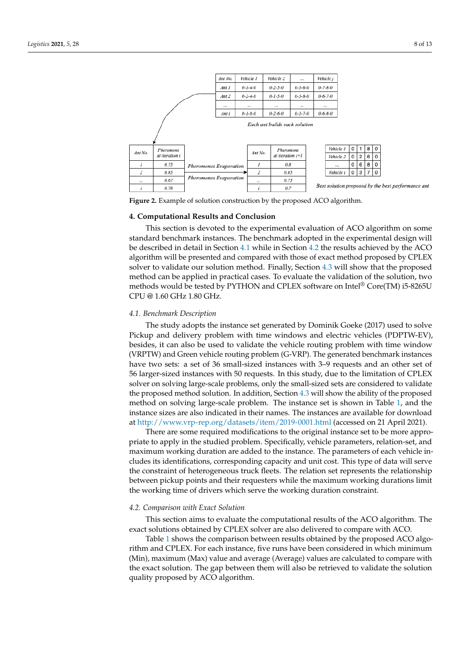<span id="page-7-0"></span>

**Figure 2.** Example of solution construction by the proposed ACO algorithm.

## **4. Computational Results and Conclusion**

This section is devoted to the experimental evaluation of ACO algorithm on some standard benchmark instances. The benchmark adopted in the experimental design will be described in detail in Section [4.1](#page-7-1) while in Section [4.2](#page-7-2) the results achieved by the ACO algorithm will be presented and compared with those of exact method proposed by CPLEX solver to validate our solution method. Finally, Section [4.3](#page-9-0) will show that the proposed method can be applied in practical cases. To evaluate the validation of the solution, two methods would be tested by PYTHON and CPLEX software on Intel® Core(TM) i5-8265U CPU @ 1.60 GHz 1.80 GHz.

#### <span id="page-7-1"></span>*4.1. Benchmark Description*

The study adopts the instance set generated by Dominik Goeke (2017) used to solve Pickup and delivery problem with time windows and electric vehicles (PDPTW-EV), besides, it can also be used to validate the vehicle routing problem with time window (VRPTW) and Green vehicle routing problem (G-VRP). The generated benchmark instances have two sets: a set of 36 small-sized instances with 3–9 requests and an other set of 56 larger-sized instances with 50 requests. In this study, due to the limitation of CPLEX solver on solving large-scale problems, only the small-sized sets are considered to validate the proposed method solution. In addition, Section [4.3](#page-9-0) will show the ability of the proposed method on solving large-scale problem. The instance set is shown in Table [1,](#page-8-0) and the instance sizes are also indicated in their names. The instances are available for download at <http://www.vrp-rep.org/datasets/item/2019-0001.html> (accessed on 21 April 2021).

There are some required modifications to the original instance set to be more appropriate to apply in the studied problem. Specifically, vehicle parameters, relation-set, and maximum working duration are added to the instance. The parameters of each vehicle includes its identifications, corresponding capacity and unit cost. This type of data will serve the constraint of heterogeneous truck fleets. The relation set represents the relationship between pickup points and their requesters while the maximum working durations limit the working time of drivers which serve the working duration constraint.

## <span id="page-7-2"></span>*4.2. Comparison with Exact Solution*

This section aims to evaluate the computational results of the ACO algorithm. The exact solutions obtained by CPLEX solver are also delivered to compare with ACO.

Table [1](#page-8-0) shows the comparison between results obtained by the proposed ACO algorithm and CPLEX. For each instance, five runs have been considered in which minimum (Min), maximum (Max) value and average (Average) values are calculated to compare with the exact solution. The gap between them will also be retrieved to validate the solution quality proposed by ACO algorithm.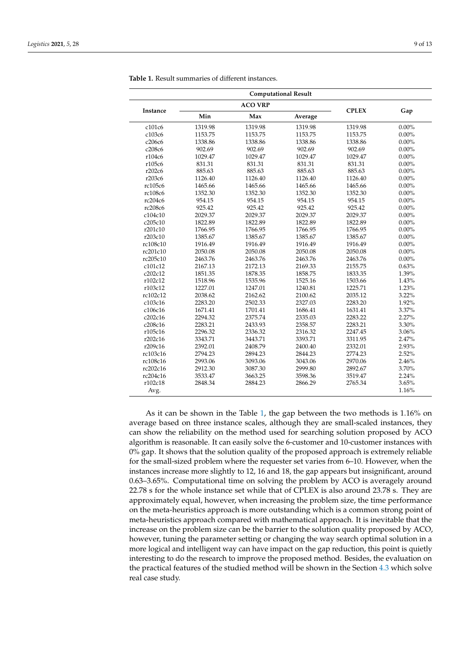| <b>Computational Result</b> |                |         |         |              |          |
|-----------------------------|----------------|---------|---------|--------------|----------|
|                             | <b>ACO VRP</b> |         |         |              |          |
| Instance                    | Min            | Max     | Average | <b>CPLEX</b> | Gap      |
| c101c6                      | 1319.98        | 1319.98 | 1319.98 | 1319.98      | $0.00\%$ |
| c103c6                      | 1153.75        | 1153.75 | 1153.75 | 1153.75      | $0.00\%$ |
| c206c6                      | 1338.86        | 1338.86 | 1338.86 | 1338.86      | $0.00\%$ |
| c208c6                      | 902.69         | 902.69  | 902.69  | 902.69       | $0.00\%$ |
| r104c6                      | 1029.47        | 1029.47 | 1029.47 | 1029.47      | $0.00\%$ |
| r105c6                      | 831.31         | 831.31  | 831.31  | 831.31       | $0.00\%$ |
| r202c6                      | 885.63         | 885.63  | 885.63  | 885.63       | $0.00\%$ |
| r203c6                      | 1126.40        | 1126.40 | 1126.40 | 1126.40      | $0.00\%$ |
| rc105c6                     | 1465.66        | 1465.66 | 1465.66 | 1465.66      | $0.00\%$ |
| rc108c6                     | 1352.30        | 1352.30 | 1352.30 | 1352.30      | $0.00\%$ |
| rc204c6                     | 954.15         | 954.15  | 954.15  | 954.15       | $0.00\%$ |
| rc208c6                     | 925.42         | 925.42  | 925.42  | 925.42       | $0.00\%$ |
| c104c10                     | 2029.37        | 2029.37 | 2029.37 | 2029.37      | $0.00\%$ |
| c205c10                     | 1822.89        | 1822.89 | 1822.89 | 1822.89      | $0.00\%$ |
| r201c10                     | 1766.95        | 1766.95 | 1766.95 | 1766.95      | $0.00\%$ |
| r203c10                     | 1385.67        | 1385.67 | 1385.67 | 1385.67      | $0.00\%$ |
| rc108c10                    | 1916.49        | 1916.49 | 1916.49 | 1916.49      | $0.00\%$ |
| rc201c10                    | 2050.08        | 2050.08 | 2050.08 | 2050.08      | $0.00\%$ |
| rc205c10                    | 2463.76        | 2463.76 | 2463.76 | 2463.76      | $0.00\%$ |
| c101c12                     | 2167.13        | 2172.13 | 2169.33 | 2155.75      | 0.63%    |
| c202c12                     | 1851.35        | 1878.35 | 1858.75 | 1833.35      | 1.39%    |
| r102c12                     | 1518.96        | 1535.96 | 1525.16 | 1503.66      | 1.43%    |
| r103c12                     | 1227.01        | 1247.01 | 1240.81 | 1225.71      | 1.23%    |
| rc102c12                    | 2038.62        | 2162.62 | 2100.62 | 2035.12      | 3.22%    |
| c103c16                     | 2283.20        | 2502.33 | 2327.03 | 2283.20      | 1.92%    |
| c106c16                     | 1671.41        | 1701.41 | 1686.41 | 1631.41      | 3.37%    |
| c202c16                     | 2294.32        | 2375.74 | 2335.03 | 2283.22      | 2.27%    |
| c208c16                     | 2283.21        | 2433.93 | 2358.57 | 2283.21      | 3.30%    |
| r105c16                     | 2296.32        | 2336.32 | 2316.32 | 2247.45      | 3.06%    |
| r202c16                     | 3343.71        | 3443.71 | 3393.71 | 3311.95      | 2.47%    |
| r209c16                     | 2392.01        | 2408.79 | 2400.40 | 2332.01      | 2.93%    |
| rc103c16                    | 2794.23        | 2894.23 | 2844.23 | 2774.23      | 2.52%    |
| rc108c16                    | 2993.06        | 3093.06 | 3043.06 | 2970.06      | 2.46%    |
| rc202c16                    | 2912.30        | 3087.30 | 2999.80 | 2892.67      | 3.70%    |
| rc204c16                    | 3533.47        | 3663.25 | 3598.36 | 3519.47      | 2.24%    |
| r102c18                     | 2848.34        | 2884.23 | 2866.29 | 2765.34      | 3.65%    |
| Avg.                        |                |         |         |              | 1.16%    |

<span id="page-8-0"></span>**Table 1.** Result summaries of different instances.

As it can be shown in the Table [1,](#page-8-0) the gap between the two methods is 1.16% on average based on three instance scales, although they are small-scaled instances, they can show the reliability on the method used for searching solution proposed by ACO algorithm is reasonable. It can easily solve the 6-customer and 10-customer instances with 0% gap. It shows that the solution quality of the proposed approach is extremely reliable for the small-sized problem where the requester set varies from 6–10. However, when the instances increase more slightly to 12, 16 and 18, the gap appears but insignificant, around 0.63–3.65%. Computational time on solving the problem by ACO is averagely around 22.78 s for the whole instance set while that of CPLEX is also around 23.78 s. They are approximately equal, however, when increasing the problem size, the time performance on the meta-heuristics approach is more outstanding which is a common strong point of meta-heuristics approach compared with mathematical approach. It is inevitable that the increase on the problem size can be the barrier to the solution quality proposed by ACO, however, tuning the parameter setting or changing the way search optimal solution in a more logical and intelligent way can have impact on the gap reduction, this point is quietly interesting to do the research to improve the proposed method. Besides, the evaluation on the practical features of the studied method will be shown in the Section [4.3](#page-9-0) which solve real case study.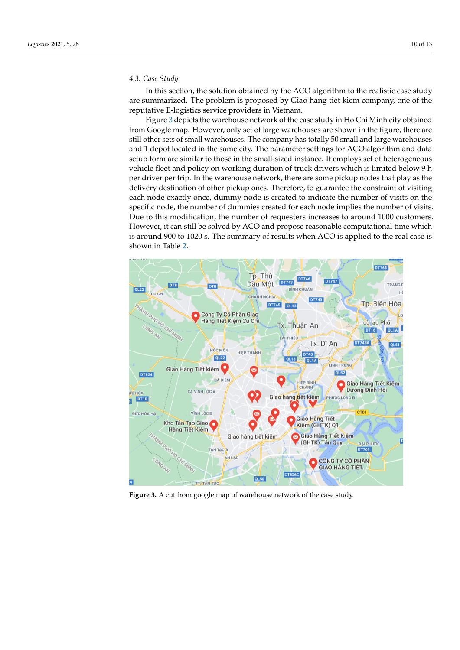## <span id="page-9-0"></span>*4.3. Case Study*

In this section, the solution obtained by the ACO algorithm to the realistic case study are summarized. The problem is proposed by Giao hang tiet kiem company, one of the reputative E-logistics service providers in Vietnam.

Figure [3](#page-9-1) depicts the warehouse network of the case study in Ho Chi Minh city obtained from Google map. However, only set of large warehouses are shown in the figure, there are still other sets of small warehouses. The company has totally 50 small and large warehouses and 1 depot located in the same city. The parameter settings for ACO algorithm and data setup form are similar to those in the small-sized instance. It employs set of heterogeneous vehicle fleet and policy on working duration of truck drivers which is limited below 9 h per driver per trip. In the warehouse network, there are some pickup nodes that play as the delivery destination of other pickup ones. Therefore, to guarantee the constraint of visiting each node exactly once, dummy node is created to indicate the number of visits on the specific node, the number of dummies created for each node implies the number of visits. Due to this modification, the number of requesters increases to around 1000 customers. However, it can still be solved by ACO and propose reasonable computational time which is around 900 to 1020 s. The summary of results when ACO is applied to the real case is shown in Table [2.](#page-10-0)

<span id="page-9-1"></span>

**Figure 3.** A cut from google map of warehouse network of the case study.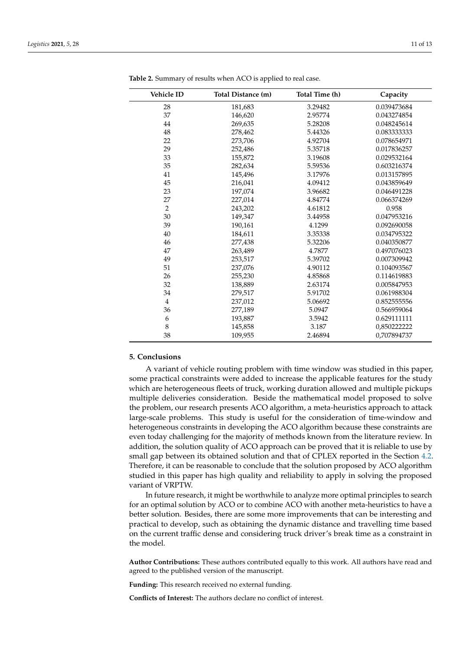| <b>Vehicle ID</b> | Total Distance (m) | Total Time (h) | Capacity    |
|-------------------|--------------------|----------------|-------------|
| 28                | 181,683            | 3.29482        | 0.039473684 |
| 37                | 146,620            | 2.95774        | 0.043274854 |
| 44                | 269,635            | 5.28208        | 0.048245614 |
| 48                | 278,462            | 5.44326        | 0.083333333 |
| 22                | 273,706            | 4.92704        | 0.078654971 |
| 29                | 252,486            | 5.35718        | 0.017836257 |
| 33                | 155,872            | 3.19608        | 0.029532164 |
| 35                | 282,634            | 5.59536        | 0.603216374 |
| 41                | 145,496            | 3.17976        | 0.013157895 |
| 45                | 216,041            | 4.09412        | 0.043859649 |
| 23                | 197,074            | 3.96682        | 0.046491228 |
| 27                | 227,014            | 4.84774        | 0.066374269 |
| $\overline{2}$    | 243,202            | 4.61812        | 0.958       |
| 30                | 149,347            | 3.44958        | 0.047953216 |
| 39                | 190,161            | 4.1299         | 0.092690058 |
| 40                | 184,611            | 3.35338        | 0.034795322 |
| 46                | 277,438            | 5.32206        | 0.040350877 |
| 47                | 263,489            | 4.7877         | 0.497076023 |
| 49                | 253,517            | 5.39702        | 0.007309942 |
| 51                | 237,076            | 4.90112        | 0.104093567 |
| 26                | 255,230            | 4.85868        | 0.114619883 |
| 32                | 138,889            | 2.63174        | 0.005847953 |
| 34                | 279,517            | 5.91702        | 0.061988304 |
| $\overline{4}$    | 237,012            | 5.06692        | 0.852555556 |
| 36                | 277,189            | 5.0947         | 0.566959064 |
| 6                 | 193,887            | 3.5942         | 0.629111111 |
| 8                 | 145,858            | 3.187          | 0,850222222 |
| 38                | 109,955            | 2.46894        | 0,707894737 |

<span id="page-10-0"></span>**Table 2.** Summary of results when ACO is applied to real case.

#### **5. Conclusions**

A variant of vehicle routing problem with time window was studied in this paper, some practical constraints were added to increase the applicable features for the study which are heterogeneous fleets of truck, working duration allowed and multiple pickups multiple deliveries consideration. Beside the mathematical model proposed to solve the problem, our research presents ACO algorithm, a meta-heuristics approach to attack large-scale problems. This study is useful for the consideration of time-window and heterogeneous constraints in developing the ACO algorithm because these constraints are even today challenging for the majority of methods known from the literature review. In addition, the solution quality of ACO approach can be proved that it is reliable to use by small gap between its obtained solution and that of CPLEX reported in the Section [4.2.](#page-7-2) Therefore, it can be reasonable to conclude that the solution proposed by ACO algorithm studied in this paper has high quality and reliability to apply in solving the proposed variant of VRPTW.

In future research, it might be worthwhile to analyze more optimal principles to search for an optimal solution by ACO or to combine ACO with another meta-heuristics to have a better solution. Besides, there are some more improvements that can be interesting and practical to develop, such as obtaining the dynamic distance and travelling time based on the current traffic dense and considering truck driver's break time as a constraint in the model.

**Author Contributions:** These authors contributed equally to this work. All authors have read and agreed to the published version of the manuscript.

**Funding:** This research received no external funding.

**Conflicts of Interest:** The authors declare no conflict of interest.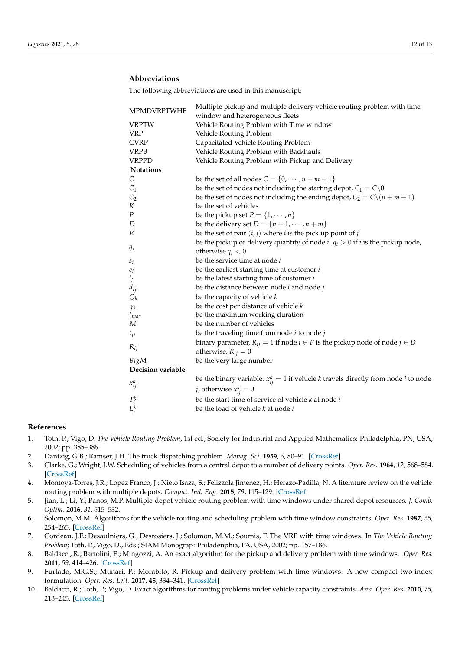# **Abbreviations**

The following abbreviations are used in this manuscript:

| <b>MPMDVRPTWHF</b>        | Multiple pickup and multiple delivery vehicle routing problem with time                         |  |  |  |
|---------------------------|-------------------------------------------------------------------------------------------------|--|--|--|
|                           | window and heterogeneous fleets                                                                 |  |  |  |
| <b>VRPTW</b>              | Vehicle Routing Problem with Time window                                                        |  |  |  |
| <b>VRP</b>                | Vehicle Routing Problem                                                                         |  |  |  |
| <b>CVRP</b>               | Capacitated Vehicle Routing Problem                                                             |  |  |  |
| <b>VRPB</b>               | Vehicle Routing Problem with Backhauls                                                          |  |  |  |
| <b>VRPPD</b>              | Vehicle Routing Problem with Pickup and Delivery                                                |  |  |  |
| Notations                 |                                                                                                 |  |  |  |
| $\mathcal{C}_{0}^{2}$     | be the set of all nodes $C = \{0, \dots, n + m + 1\}$                                           |  |  |  |
| C <sub>1</sub>            | be the set of nodes not including the starting depot, $C_1 = C \setminus 0$                     |  |  |  |
| C <sub>2</sub>            | be the set of nodes not including the ending depot, $C_2 = C \setminus (n + m + 1)$             |  |  |  |
| K                         | be the set of vehicles                                                                          |  |  |  |
| $\cal P$                  | be the pickup set $P = \{1, \dots, n\}$                                                         |  |  |  |
| D                         | be the delivery set $D = \{n+1, \dots, n+m\}$                                                   |  |  |  |
| R                         | be the set of pair $(i, j)$ where i is the pick up point of j                                   |  |  |  |
|                           | be the pickup or delivery quantity of node <i>i</i> . $q_i > 0$ if <i>i</i> is the pickup node, |  |  |  |
| $q_i$                     | otherwise $q_i < 0$                                                                             |  |  |  |
| $s_i$                     | be the service time at node i                                                                   |  |  |  |
| $e_i$                     | be the earliest starting time at customer $i$                                                   |  |  |  |
| $l_i$                     | be the latest starting time of customer $i$                                                     |  |  |  |
| $d_{ij}$                  | be the distance between node $i$ and node $j$                                                   |  |  |  |
| $Q_k$                     | be the capacity of vehicle $k$                                                                  |  |  |  |
| $\gamma_k$                | be the cost per distance of vehicle $k$                                                         |  |  |  |
| $t_{max}$                 | be the maximum working duration                                                                 |  |  |  |
| M                         | be the number of vehicles                                                                       |  |  |  |
| $t_{ij}$                  | be the traveling time from node $i$ to node $j$                                                 |  |  |  |
|                           | binary parameter, $R_{ij} = 1$ if node $i \in P$ is the pickup node of node $j \in D$           |  |  |  |
| $R_{ij}$                  | otherwise, $R_{ij} = 0$                                                                         |  |  |  |
| BigM                      | be the very large number                                                                        |  |  |  |
| Decision variable         |                                                                                                 |  |  |  |
|                           | be the binary variable. $x_{ij}^k = 1$ if vehicle k travels directly from node <i>i</i> to node |  |  |  |
| $x_{ij}^k$                | <i>j</i> , otherwise $x_{ij}^k = 0$                                                             |  |  |  |
|                           | be the start time of service of vehicle k at node i                                             |  |  |  |
| $T^k_{\dot l}$<br>$L^k_i$ | be the load of vehicle k at node i                                                              |  |  |  |
|                           |                                                                                                 |  |  |  |

## **References**

- <span id="page-11-0"></span>1. Toth, P.; Vigo, D. *The Vehicle Routing Problem*, 1st ed.; Society for Industrial and Applied Mathematics: Philadelphia, PN, USA, 2002; pp. 385–386.
- <span id="page-11-1"></span>2. Dantzig, G.B.; Ramser, J.H. The truck dispatching problem. *Manag. Sci.* **1959**, *6*, 80–91. [\[CrossRef\]](http://doi.org/10.1287/mnsc.6.1.80)
- <span id="page-11-2"></span>3. Clarke, G.; Wright, J.W. Scheduling of vehicles from a central depot to a number of delivery points. *Oper. Res.* **1964**, *12*, 568–584. [\[CrossRef\]](http://dx.doi.org/10.1287/opre.12.4.568)
- <span id="page-11-3"></span>4. Montoya-Torres, J.R.; Lopez Franco, J.; Nieto Isaza, S.; Felizzola Jimenez, H.; Herazo-Padilla, N. A literature review on the vehicle routing problem with multiple depots. *Comput. Ind. Eng.* **2015**, *79*, 115–129. [\[CrossRef\]](http://dx.doi.org/10.1016/j.cie.2014.10.029)
- <span id="page-11-4"></span>5. Jian, L.; Li, Y.; Panos, M.P. Multiple-depot vehicle routing problem with time windows under shared depot resources. *J. Comb. Optim.* **2016**, *31*, 515–532.
- <span id="page-11-5"></span>6. Solomon, M.M. Algorithms for the vehicle routing and scheduling problem with time window constraints. *Oper. Res.* **1987**, *35*, 254–265. [\[CrossRef\]](http://dx.doi.org/10.1287/opre.35.2.254)
- <span id="page-11-6"></span>7. Cordeau, J.F.; Desaulniers, G.; Desrosiers, J.; Solomon, M.M.; Soumis, F. The VRP with time windows. In *The Vehicle Routing Problem*; Toth, P., Vigo, D., Eds.; SIAM Monograp: Philadenphia, PA, USA, 2002; pp. 157–186.
- <span id="page-11-7"></span>8. Baldacci, R.; Bartolini, E.; Mingozzi, A. An exact algorithm for the pickup and delivery problem with time windows. *Oper. Res.* **2011**, *59*, 414–426. [\[CrossRef\]](http://dx.doi.org/10.1287/opre.1100.0881)
- <span id="page-11-8"></span>9. Furtado, M.G.S.; Munari, P.; Morabito, R. Pickup and delivery problem with time windows: A new compact two-index formulation. *Oper. Res. Lett.* **2017**, **45**, 334–341. [\[CrossRef\]](http://dx.doi.org/10.1016/j.orl.2017.04.013)
- <span id="page-11-9"></span>10. Baldacci, R.; Toth, P.; Vigo, D. Exact algorithms for routing problems under vehicle capacity constraints. *Ann. Oper. Res.* **2010**, *75*, 213–245. [\[CrossRef\]](http://dx.doi.org/10.1007/s10479-009-0650-0)